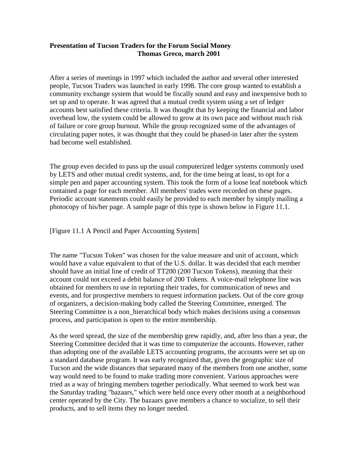## **Presentation of Tucson Traders for the Forum Social Money Thomas Greco, march 2001**

After a series of meetings in 1997 which included the author and several other interested people, Tucson Traders was launched in early 1998. The core group wanted to establish a community exchange system that would be fiscally sound and easy and inexpensive both to set up and to operate. It was agreed that a mutual credit system using a set of ledger accounts best satisfied these criteria. It was thought that by keeping the financial and labor overhead low, the system could be allowed to grow at its own pace and without much risk of failure or core group burnout. While the group recognized some of the advantages of circulating paper notes, it was thought that they could be phased-in later after the system had become well established.

The group even decided to pass up the usual computerized ledger systems commonly used by LETS and other mutual credit systems, and, for the time being at least, to opt for a simple pen and paper accounting system. This took the form of a loose leaf notebook which contained a page for each member. All members' trades were recorded on these pages. Periodic account statements could easily be provided to each member by simply mailing a photocopy of his/her page. A sample page of this type is shown below in Figure 11.1.

[Figure 11.1 A Pencil and Paper Accounting System]

The name "Tucson Token" was chosen for the value measure and unit of account, which would have a value equivalent to that of the U.S. dollar. It was decided that each member should have an initial line of credit of TT200 (200 Tucson Tokens), meaning that their account could not exceed a debit balance of 200 Tokens. A voice-mail telephone line was obtained for members to use in reporting their trades, for communication of news and events, and for prospective members to request information packets. Out of the core group of organizers, a decision-making body called the Steering Committee, emerged. The Steering Committee is a non\_hierarchical body which makes decisions using a consensus process, and participation is open to the entire membership.

As the word spread, the size of the membership grew rapidly, and, after less than a year, the Steering Committee decided that it was time to computerize the accounts. However, rather than adopting one of the available LETS accounting programs, the accounts were set up on a standard database program. It was early recognized that, given the geographic size of Tucson and the wide distances that separated many of the members from one another, some way would need to be found to make trading more convenient. Various approaches were tried as a way of bringing members together periodically. What seemed to work best was the Saturday trading "bazaars," which were held once every other month at a neighborhood center operated by the City. The bazaars gave members a chance to socialize, to sell their products, and to sell items they no longer needed.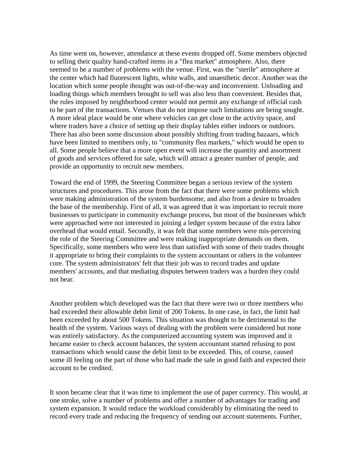As time went on, however, attendance at these events dropped off. Some members objected to selling their quality hand-crafted items in a "flea market" atmosphere. Also, there seemed to be a number of problems with the venue. First, was the "sterile" atmosphere at the center which had fluorescent lights, white walls, and unaesthetic decor. Another was the location which some people thought was out-of-the-way and inconvenient. Unloading and loading things which members brought to sell was also less than convenient. Besides that, the rules imposed by neighborhood center would not permit any exchange of official cash to be part of the transactions. Venues that do not impose such limitations are being sought. A more ideal place would be one where vehicles can get close to the activity space, and where traders have a choice of setting up their display tables either indoors or outdoors. There has also been some discussion about possibly shifting from trading bazaars, which have been limited to members only, to "community flea markets," which would be open to all. Some people believe that a more open event will increase the quantity and assortment of goods and services offered for sale, which will attract a greater number of people, and provide an opportunity to recruit new members.

Toward the end of 1999, the Steering Committee began a serious review of the system structures and procedures. This arose from the fact that there were some problems which were making administration of the system burdensome, and also from a desire to broaden the base of the membership. First of all, it was agreed that it was important to recruit more businesses to participate in community exchange process, but most of the businesses which were approached were not interested in joining a ledger system because of the extra labor overhead that would entail. Secondly, it was felt that some members were mis-perceiving the role of the Steering Committee and were making inappropriate demands on them. Specifically, some members who were less than satisfied with some of their trades thought it appropriate to bring their complaints to the system accountant or others in the volunteer core. The system administrators' felt that their job was to record trades and update members' accounts, and that mediating disputes between traders was a burden they could not bear.

Another problem which developed was the fact that there were two or three members who had exceeded their allowable debit limit of 200 Tokens. In one case, in fact, the limit had been exceeded by about 500 Tokens. This situation was thought to be detrimental to the health of the system. Various ways of dealing with the problem were considered but none was entirely satisfactory. As the computerized accounting system was improved and it became easier to check account balances, the system accountant started refusing to post transactions which would cause the debit limit to be exceeded. This, of course, caused some ill feeling on the part of those who had made the sale in good faith and expected their account to be credited.

It soon became clear that it was time to implement the use of paper currency. This would, at one stroke, solve a number of problems and offer a number of advantages for trading and system expansion. It would reduce the workload considerably by eliminating the need to record every trade and reducing the frequency of sending out account statements. Further,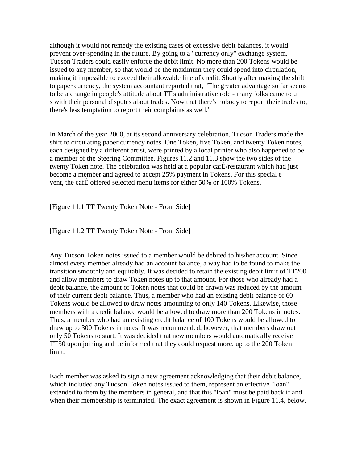although it would not remedy the existing cases of excessive debit balances, it would prevent over-spending in the future. By going to a "currency only" exchange system, Tucson Traders could easily enforce the debit limit. No more than 200 Tokens would be issued to any member, so that would be the maximum they could spend into circulation, making it impossible to exceed their allowable line of credit. Shortly after making the shift to paper currency, the system accountant reported that, "The greater advantage so far seems to be a change in people's attitude about TT's administrative role - many folks came to u s with their personal disputes about trades. Now that there's nobody to report their trades to, there's less temptation to report their complaints as well."

In March of the year 2000, at its second anniversary celebration, Tucson Traders made the shift to circulating paper currency notes. One Token, five Token, and twenty Token notes, each designed by a different artist, were printed by a local printer who also happened to be a member of the Steering Committee. Figures 11.2 and 11.3 show the two sides of the twenty Token note. The celebration was held at a popular cafÉ/restaurant which had just become a member and agreed to accept 25% payment in Tokens. For this special e vent, the cafÉ offered selected menu items for either 50% or 100% Tokens.

[Figure 11.1 TT Twenty Token Note - Front Side]

[Figure 11.2 TT Twenty Token Note - Front Side]

Any Tucson Token notes issued to a member would be debited to his/her account. Since almost every member already had an account balance, a way had to be found to make the transition smoothly and equitably. It was decided to retain the existing debit limit of TT200 and allow members to draw Token notes up to that amount. For those who already had a debit balance, the amount of Token notes that could be drawn was reduced by the amount of their current debit balance. Thus, a member who had an existing debit balance of 60 Tokens would be allowed to draw notes amounting to only 140 Tokens. Likewise, those members with a credit balance would be allowed to draw more than 200 Tokens in notes. Thus, a member who had an existing credit balance of 100 Tokens would be allowed to draw up to 300 Tokens in notes. It was recommended, however, that members draw out only 50 Tokens to start. It was decided that new members would automatically receive TT50 upon joining and be informed that they could request more, up to the 200 Token limit.

Each member was asked to sign a new agreement acknowledging that their debit balance, which included any Tucson Token notes issued to them, represent an effective "loan" extended to them by the members in general, and that this "loan" must be paid back if and when their membership is terminated. The exact agreement is shown in Figure 11.4, below.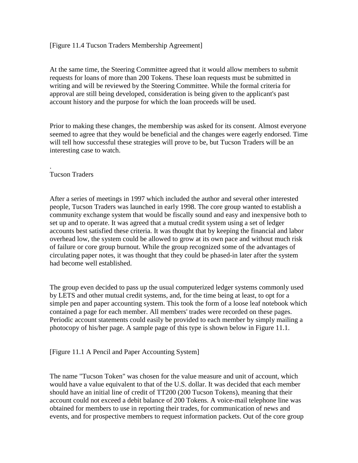## [Figure 11.4 Tucson Traders Membership Agreement]

At the same time, the Steering Committee agreed that it would allow members to submit requests for loans of more than 200 Tokens. These loan requests must be submitted in writing and will be reviewed by the Steering Committee. While the formal criteria for approval are still being developed, consideration is being given to the applicant's past account history and the purpose for which the loan proceeds will be used.

Prior to making these changes, the membership was asked for its consent. Almost everyone seemed to agree that they would be beneficial and the changes were eagerly endorsed. Time will tell how successful these strategies will prove to be, but Tucson Traders will be an interesting case to watch.

## . Tucson Traders

After a series of meetings in 1997 which included the author and several other interested people, Tucson Traders was launched in early 1998. The core group wanted to establish a community exchange system that would be fiscally sound and easy and inexpensive both to set up and to operate. It was agreed that a mutual credit system using a set of ledger accounts best satisfied these criteria. It was thought that by keeping the financial and labor overhead low, the system could be allowed to grow at its own pace and without much risk of failure or core group burnout. While the group recognized some of the advantages of circulating paper notes, it was thought that they could be phased-in later after the system had become well established.

The group even decided to pass up the usual computerized ledger systems commonly used by LETS and other mutual credit systems, and, for the time being at least, to opt for a simple pen and paper accounting system. This took the form of a loose leaf notebook which contained a page for each member. All members' trades were recorded on these pages. Periodic account statements could easily be provided to each member by simply mailing a photocopy of his/her page. A sample page of this type is shown below in Figure 11.1.

## [Figure 11.1 A Pencil and Paper Accounting System]

The name "Tucson Token" was chosen for the value measure and unit of account, which would have a value equivalent to that of the U.S. dollar. It was decided that each member should have an initial line of credit of TT200 (200 Tucson Tokens), meaning that their account could not exceed a debit balance of 200 Tokens. A voice-mail telephone line was obtained for members to use in reporting their trades, for communication of news and events, and for prospective members to request information packets. Out of the core group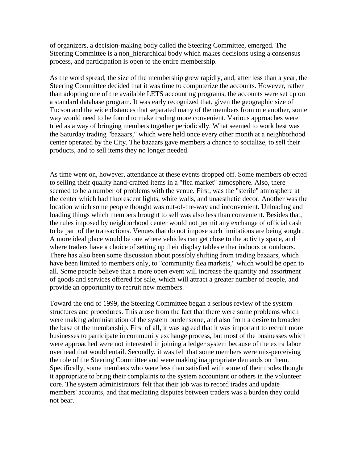of organizers, a decision-making body called the Steering Committee, emerged. The Steering Committee is a non\_hierarchical body which makes decisions using a consensus process, and participation is open to the entire membership.

As the word spread, the size of the membership grew rapidly, and, after less than a year, the Steering Committee decided that it was time to computerize the accounts. However, rather than adopting one of the available LETS accounting programs, the accounts were set up on a standard database program. It was early recognized that, given the geographic size of Tucson and the wide distances that separated many of the members from one another, some way would need to be found to make trading more convenient. Various approaches were tried as a way of bringing members together periodically. What seemed to work best was the Saturday trading "bazaars," which were held once every other month at a neighborhood center operated by the City. The bazaars gave members a chance to socialize, to sell their products, and to sell items they no longer needed.

As time went on, however, attendance at these events dropped off. Some members objected to selling their quality hand-crafted items in a "flea market" atmosphere. Also, there seemed to be a number of problems with the venue. First, was the "sterile" atmosphere at the center which had fluorescent lights, white walls, and unaesthetic decor. Another was the location which some people thought was out-of-the-way and inconvenient. Unloading and loading things which members brought to sell was also less than convenient. Besides that, the rules imposed by neighborhood center would not permit any exchange of official cash to be part of the transactions. Venues that do not impose such limitations are being sought. A more ideal place would be one where vehicles can get close to the activity space, and where traders have a choice of setting up their display tables either indoors or outdoors. There has also been some discussion about possibly shifting from trading bazaars, which have been limited to members only, to "community flea markets," which would be open to all. Some people believe that a more open event will increase the quantity and assortment of goods and services offered for sale, which will attract a greater number of people, and provide an opportunity to recruit new members.

Toward the end of 1999, the Steering Committee began a serious review of the system structures and procedures. This arose from the fact that there were some problems which were making administration of the system burdensome, and also from a desire to broaden the base of the membership. First of all, it was agreed that it was important to recruit more businesses to participate in community exchange process, but most of the businesses which were approached were not interested in joining a ledger system because of the extra labor overhead that would entail. Secondly, it was felt that some members were mis-perceiving the role of the Steering Committee and were making inappropriate demands on them. Specifically, some members who were less than satisfied with some of their trades thought it appropriate to bring their complaints to the system accountant or others in the volunteer core. The system administrators' felt that their job was to record trades and update members' accounts, and that mediating disputes between traders was a burden they could not bear.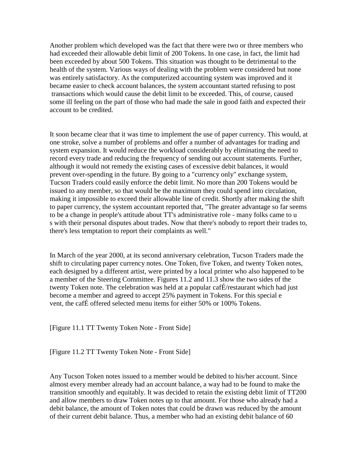Another problem which developed was the fact that there were two or three members who had exceeded their allowable debit limit of 200 Tokens. In one case, in fact, the limit had been exceeded by about 500 Tokens. This situation was thought to be detrimental to the health of the system. Various ways of dealing with the problem were considered but none was entirely satisfactory. As the computerized accounting system was improved and it became easier to check account balances, the system accountant started refusing to post transactions which would cause the debit limit to be exceeded. This, of course, caused some ill feeling on the part of those who had made the sale in good faith and expected their account to be credited.

It soon became clear that it was time to implement the use of paper currency. This would, at one stroke, solve a number of problems and offer a number of advantages for trading and system expansion. It would reduce the workload considerably by eliminating the need to record every trade and reducing the frequency of sending out account statements. Further, although it would not remedy the existing cases of excessive debit balances, it would prevent over-spending in the future. By going to a "currency only" exchange system, Tucson Traders could easily enforce the debit limit. No more than 200 Tokens would be issued to any member, so that would be the maximum they could spend into circulation, making it impossible to exceed their allowable line of credit. Shortly after making the shift to paper currency, the system accountant reported that, "The greater advantage so far seems to be a change in people's attitude about TT's administrative role - many folks came to u s with their personal disputes about trades. Now that there's nobody to report their trades to, there's less temptation to report their complaints as well."

In March of the year 2000, at its second anniversary celebration, Tucson Traders made the shift to circulating paper currency notes. One Token, five Token, and twenty Token notes, each designed by a different artist, were printed by a local printer who also happened to be a member of the Steering Committee. Figures 11.2 and 11.3 show the two sides of the twenty Token note. The celebration was held at a popular cafÉ/restaurant which had just become a member and agreed to accept 25% payment in Tokens. For this special e vent, the cafÉ offered selected menu items for either 50% or 100% Tokens.

[Figure 11.1 TT Twenty Token Note - Front Side]

[Figure 11.2 TT Twenty Token Note - Front Side]

Any Tucson Token notes issued to a member would be debited to his/her account. Since almost every member already had an account balance, a way had to be found to make the transition smoothly and equitably. It was decided to retain the existing debit limit of TT200 and allow members to draw Token notes up to that amount. For those who already had a debit balance, the amount of Token notes that could be drawn was reduced by the amount of their current debit balance. Thus, a member who had an existing debit balance of 60